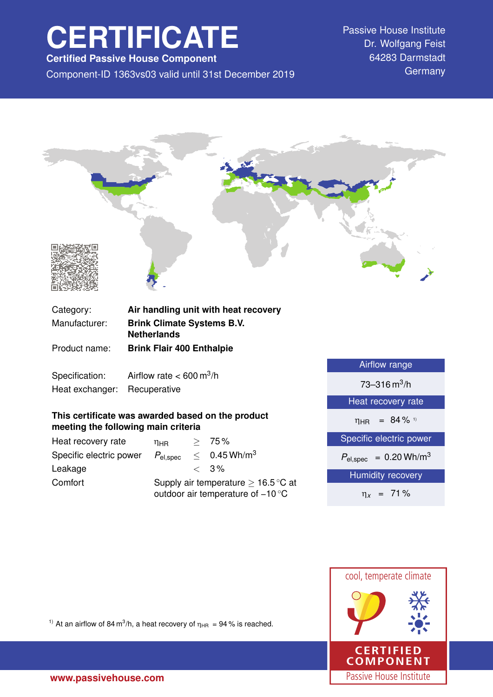# **CERTIFICATE**

**Certified Passive House Component**

Component-ID 1363vs03 valid until 31st December 2019 Germany

Passive House Institute Dr. Wolfgang Feist 64283 Darmstadt



Specification: Airflow rate  $< 600 \text{ m}^3/\text{h}$ Heat exchanger: Recuperative

## **This certificate was awarded based on the product meeting the following main criteria**

| Heat recovery rate      | $\eta_{\rm HR}$                                                                               |  | > 75%                      |
|-------------------------|-----------------------------------------------------------------------------------------------|--|----------------------------|
| Specific electric power | $P_{\mathsf{el,spec}}$                                                                        |  | $< 0.45$ Wh/m <sup>3</sup> |
| Leakage                 |                                                                                               |  | $\langle 3\%$              |
| Comfort                 | Supply air temperature $\geq 16.5^{\circ}$ C at<br>outdoor air temperature of $-10^{\circ}$ C |  |                            |

| Airflow range                          |  |  |
|----------------------------------------|--|--|
| $73 - 316 \text{ m}^3/\text{h}$        |  |  |
| Heat recovery rate                     |  |  |
| $\eta_{HR}$ = 84 % 1)                  |  |  |
| Specific electric power                |  |  |
| $P_{el,spec}$ = 0.20 Wh/m <sup>3</sup> |  |  |
| <b>Humidity recovery</b>               |  |  |
| $\eta_x$ = 71%                         |  |  |



<sup>1)</sup> At an airflow of 84 m<sup>3</sup>/h, a heat recovery of  $\eta_{HR} = 94$ % is reached.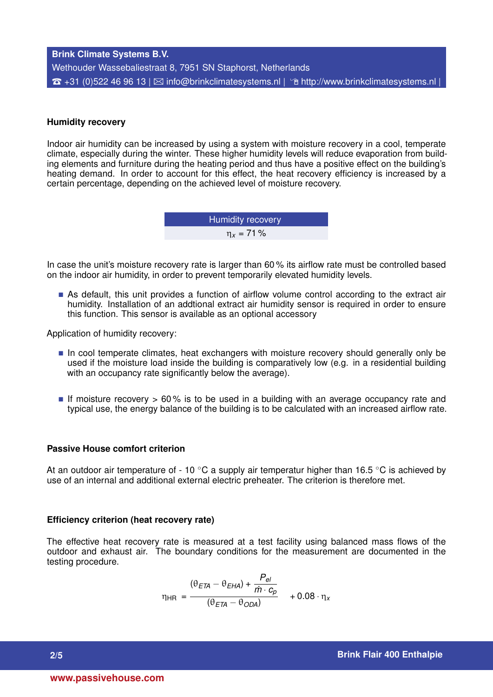## **Brink Climate Systems B.V.** Wethouder Wassebaliestraat 8, 7951 SN Staphorst, Netherlands  $\hat{\sigma}$  +31 (0)522 46 96 13 |  $\boxtimes$  [info@brinkclimatesystems.nl](mailto:info@brinkclimatesystems.nl) |  $\hat{\sigma}$  <http://www.brinkclimatesystems.nl> |

#### **Humidity recovery**

Indoor air humidity can be increased by using a system with moisture recovery in a cool, temperate climate, especially during the winter. These higher humidity levels will reduce evaporation from building elements and furniture during the heating period and thus have a positive effect on the building's heating demand. In order to account for this effect, the heat recovery efficiency is increased by a certain percentage, depending on the achieved level of moisture recovery.

> Humidity recovery η*<sup>x</sup>* = 71 %

In case the unit's moisture recovery rate is larger than 60 % its airflow rate must be controlled based on the indoor air humidity, in order to prevent temporarily elevated humidity levels.

 As default, this unit provides a function of airflow volume control according to the extract air humidity. Installation of an addtional extract air humidity sensor is required in order to ensure this function. This sensor is available as an optional accessory

Application of humidity recovery:

- In cool temperate climates, heat exchangers with moisture recovery should generally only be used if the moisture load inside the building is comparatively low (e.g. in a residential building with an occupancy rate significantly below the average).
- If moisture recovery  $> 60\%$  is to be used in a building with an average occupancy rate and typical use, the energy balance of the building is to be calculated with an increased airflow rate.

#### **Passive House comfort criterion**

At an outdoor air temperature of - 10  $\degree$ C a supply air temperatur higher than 16.5  $\degree$ C is achieved by use of an internal and additional external electric preheater. The criterion is therefore met.

#### **Efficiency criterion (heat recovery rate)**

The effective heat recovery rate is measured at a test facility using balanced mass flows of the outdoor and exhaust air. The boundary conditions for the measurement are documented in the testing procedure.

$$
\eta_{HR} = \frac{(\theta_{ETA} - \theta_{EHA}) + \frac{P_{el}}{\dot{m} \cdot c_p}}{(\theta_{ETA} - \theta_{ODA})} + 0.08 \cdot \eta_x
$$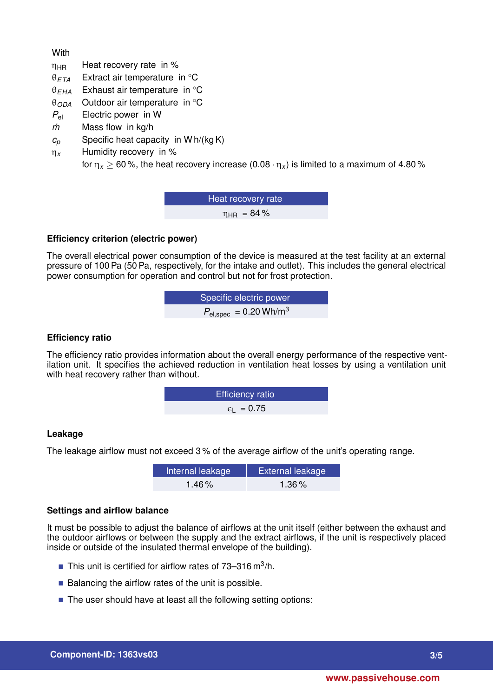**With** 

- $\eta_{HR}$  Heat recovery rate in %
- θ*ETA* Extract air temperature in ◦C
- θ*EHA* Exhaust air temperature in ◦C
- θ*ODA* Outdoor air temperature in ◦C
- *P*el Electric power in W
- *m˙* Mass flow in kg/h
- *c<sup>p</sup>* Specific heat capacity in W h/(kg K)
- η*<sup>x</sup>* Humidity recovery in %

for  $\eta_x \ge 60$ %, the heat recovery increase  $(0.08 \cdot \eta_x)$  is limited to a maximum of 4.80%

Heat recovery rate  $n_{HR}$  = 84%

## **Efficiency criterion (electric power)**

The overall electrical power consumption of the device is measured at the test facility at an external pressure of 100 Pa (50 Pa, respectively, for the intake and outlet). This includes the general electrical power consumption for operation and control but not for frost protection.

$$
Specific electric power
$$
  

$$
P_{el,spec} = 0.20 \text{ Wh/m}^3
$$

## **Efficiency ratio**

The efficiency ratio provides information about the overall energy performance of the respective ventilation unit. It specifies the achieved reduction in ventilation heat losses by using a ventilation unit with heat recovery rather than without.

$$
\text{Efficiency ratio} \quad \epsilon_{\text{L}} = 0.75
$$

## **Leakage**

The leakage airflow must not exceed 3 % of the average airflow of the unit's operating range.

| Internal leakage | <b>External leakage</b> |
|------------------|-------------------------|
| $1.46\%$         | $1.36\%$                |

## **Settings and airflow balance**

It must be possible to adjust the balance of airflows at the unit itself (either between the exhaust and the outdoor airflows or between the supply and the extract airflows, if the unit is respectively placed inside or outside of the insulated thermal envelope of the building).

- This unit is certified for airflow rates of  $73-316 \text{ m}^3/\text{h}$ .
- $\blacksquare$  Balancing the airflow rates of the unit is possible.
- The user should have at least all the following setting options: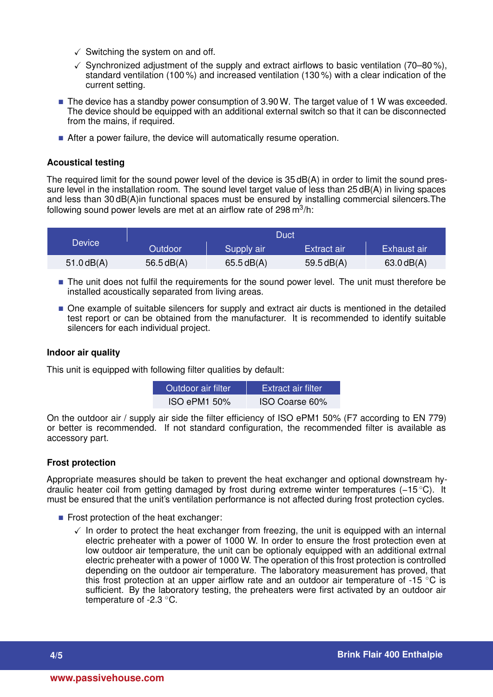- $\checkmark$  Switching the system on and off.
- $\checkmark$  Synchronized adjustment of the supply and extract airflows to basic ventilation (70–80%), standard ventilation (100 %) and increased ventilation (130 %) with a clear indication of the current setting.
- The device has a standby power consumption of 3.90 W. The target value of 1 W was exceeded. The device should be equipped with an additional external switch so that it can be disconnected from the mains, if required.
- After a power failure, the device will automatically resume operation.

### **Acoustical testing**

The required limit for the sound power level of the device is 35 dB(A) in order to limit the sound pressure level in the installation room. The sound level target value of less than 25 dB(A) in living spaces and less than 30 dB(A)in functional spaces must be ensured by installing commercial silencers.The following sound power levels are met at an airflow rate of 298 m $^3$ /h:

| <b>Device</b> | Duct           |            |              |              |
|---------------|----------------|------------|--------------|--------------|
|               | <b>Outdoor</b> | Supply air | Extract air  | Exhaust air  |
| $51.0$ dB(A)  | 56.5dB(A)      | 65.5dB(A)  | $59.5$ dB(A) | $63.0$ dB(A) |

- The unit does not fulfil the requirements for the sound power level. The unit must therefore be installed acoustically separated from living areas.
- One example of suitable silencers for supply and extract air ducts is mentioned in the detailed test report or can be obtained from the manufacturer. It is recommended to identify suitable silencers for each individual project.

#### **Indoor air quality**

This unit is equipped with following filter qualities by default:

| Outdoor air filter | 'Extract air filter. |
|--------------------|----------------------|
| $ISO$ ePM1 50%     | ISO Coarse 60%       |

On the outdoor air / supply air side the filter efficiency of ISO ePM1 50% (F7 according to EN 779) or better is recommended. If not standard configuration, the recommended filter is available as accessory part.

#### **Frost protection**

Appropriate measures should be taken to prevent the heat exchanger and optional downstream hydraulic heater coil from getting damaged by frost during extreme winter temperatures (−15 ◦C). It must be ensured that the unit's ventilation performance is not affected during frost protection cycles.

- $\blacksquare$  Frost protection of the heat exchanger:
	- $\checkmark$  In order to protect the heat exchanger from freezing, the unit is equipped with an internal electric preheater with a power of 1000 W. In order to ensure the frost protection even at low outdoor air temperature, the unit can be optionaly equipped with an additional extrnal electric preheater with a power of 1000 W. The operation of this frost protection is controlled depending on the outdoor air temperature. The laboratory measurement has proved, that this frost protection at an upper airflow rate and an outdoor air temperature of -15  $\degree$ C is sufficient. By the laboratory testing, the preheaters were first activated by an outdoor air temperature of -2.3 °C.